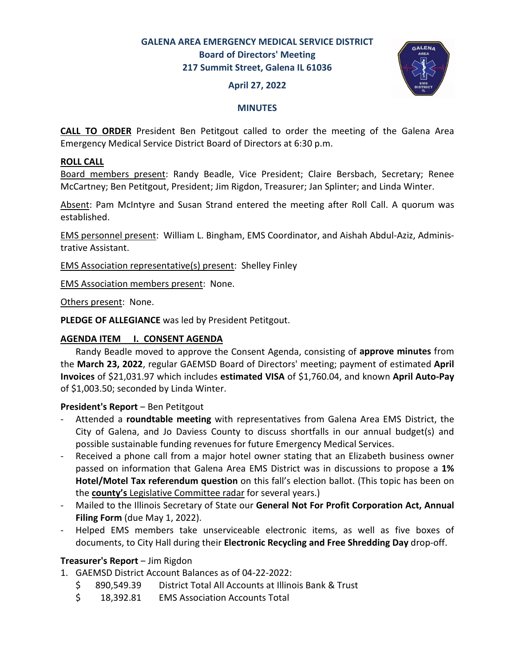## **GALENA AREA EMERGENCY MEDICAL SERVICE DISTRICT Board of Directors' Meeting 217 Summit Street, Galena IL 61036**

## **April 27, 2022**



## **MINUTES**

**CALL TO ORDER** President Ben Petitgout called to order the meeting of the Galena Area Emergency Medical Service District Board of Directors at 6:30 p.m.

## **ROLL CALL**

Board members present: Randy Beadle, Vice President; Claire Bersbach, Secretary; Renee McCartney; Ben Petitgout, President; Jim Rigdon, Treasurer; Jan Splinter; and Linda Winter.

Absent: Pam McIntyre and Susan Strand entered the meeting after Roll Call. A quorum was established.

EMS personnel present: William L. Bingham, EMS Coordinator, and Aishah Abdul-Aziz, Administrative Assistant.

EMS Association representative(s) present: Shelley Finley

EMS Association members present: None.

Others present: None.

**PLEDGE OF ALLEGIANCE** was led by President Petitgout.

## **AGENDA ITEM I. CONSENT AGENDA**

 Randy Beadle moved to approve the Consent Agenda, consisting of **approve minutes** from the **March 23, 2022**, regular GAEMSD Board of Directors' meeting; payment of estimated **April Invoices** of \$21,031.97 which includes **estimated VISA** of \$1,760.04, and known **April Auto-Pay** of \$1,003.50; seconded by Linda Winter.

## **President's Report - Ben Petitgout**

- Attended a **roundtable meeting** with representatives from Galena Area EMS District, the City of Galena, and Jo Daviess County to discuss shortfalls in our annual budget(s) and possible sustainable funding revenues for future Emergency Medical Services.
- Received a phone call from a major hotel owner stating that an Elizabeth business owner passed on information that Galena Area EMS District was in discussions to propose a **1% Hotel/Motel Tax referendum question** on this fall's election ballot. (This topic has been on the **county's** Legislative Committee radar for several years.)
- Mailed to the Illinois Secretary of State our **General Not For Profit Corporation Act, Annual Filing Form** (due May 1, 2022).
- Helped EMS members take unserviceable electronic items, as well as five boxes of documents, to City Hall during their **Electronic Recycling and Free Shredding Day** drop-off.

## **Treasurer's Report** ‒ Jim Rigdon

- 1. GAEMSD District Account Balances as of 04-22-2022:
	- \$ 890,549.39 District Total All Accounts at Illinois Bank & Trust
	- \$ 18,392.81 EMS Association Accounts Total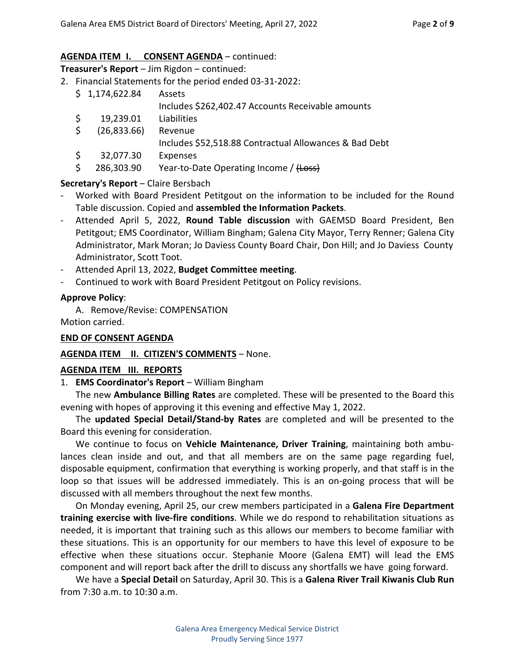## AGENDA ITEM **I.** CONSENT AGENDA – continued:

**Treasurer's Report** ‒ Jim Rigdon ‒ continued:

2. Financial Statements for the period ended 03-31-2022:

|    | \$1,174,622.84 | Assets                                                 |
|----|----------------|--------------------------------------------------------|
|    |                | Includes \$262,402.47 Accounts Receivable amounts      |
|    | 19,239.01      | Liabilities                                            |
| S. | (26,833.66)    | Revenue                                                |
|    |                | Includes \$52,518.88 Contractual Allowances & Bad Debt |
|    | 32,077.30      | Expenses                                               |
|    | 286,303.90     | Year-to-Date Operating Income / (Loss)                 |

## **Secretary's Report** – Claire Bersbach

- Worked with Board President Petitgout on the information to be included for the Round Table discussion. Copied and **assembled the Information Packets**.
- Attended April 5, 2022, **Round Table discussion** with GAEMSD Board President, Ben Petitgout; EMS Coordinator, William Bingham; Galena City Mayor, Terry Renner; Galena City Administrator, Mark Moran; Jo Daviess County Board Chair, Don Hill; and Jo Daviess County Administrator, Scott Toot.
- Attended April 13, 2022, **Budget Committee meeting**.
- Continued to work with Board President Petitgout on Policy revisions.

## **Approve Policy**:

A. Remove/Revise: COMPENSATION

Motion carried.

## **END OF CONSENT AGENDA**

## AGENDA ITEM II. CITIZEN'S COMMENTS - None.

## **AGENDA ITEM III. REPORTS**

1. **EMS Coordinator's Report** – William Bingham

 The new **Ambulance Billing Rates** are completed. These will be presented to the Board this evening with hopes of approving it this evening and effective May 1, 2022.

 The **updated Special Detail/Stand-by Rates** are completed and will be presented to the Board this evening for consideration.

 We continue to focus on **Vehicle Maintenance, Driver Training**, maintaining both ambulances clean inside and out, and that all members are on the same page regarding fuel, disposable equipment, confirmation that everything is working properly, and that staff is in the loop so that issues will be addressed immediately. This is an on-going process that will be discussed with all members throughout the next few months.

 On Monday evening, April 25, our crew members participated in a **Galena Fire Department training exercise with live-fire conditions**. While we do respond to rehabilitation situations as needed, it is important that training such as this allows our members to become familiar with these situations. This is an opportunity for our members to have this level of exposure to be effective when these situations occur. Stephanie Moore (Galena EMT) will lead the EMS component and will report back after the drill to discuss any shortfalls we have going forward.

 We have a **Special Detail** on Saturday, April 30. This is a **Galena River Trail Kiwanis Club Run** from 7:30 a.m. to 10:30 a.m.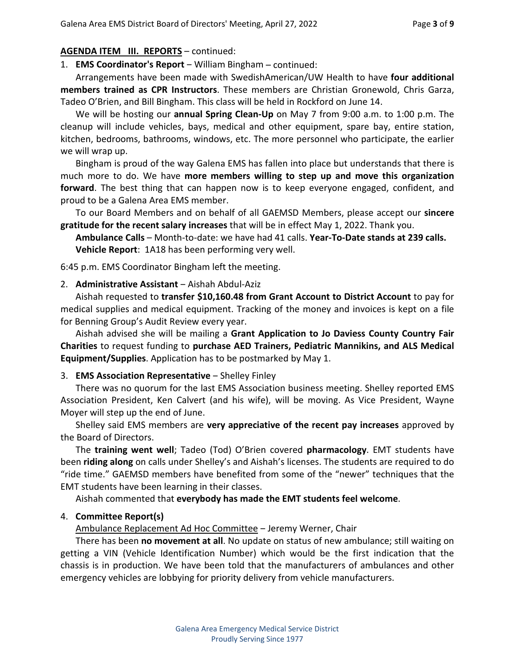#### **AGENDA ITEM III. REPORTS** – continued:

1. **EMS Coordinator's Report** – William Bingham – continued:

 Arrangements have been made with SwedishAmerican/UW Health to have **four additional members trained as CPR Instructors**. These members are Christian Gronewold, Chris Garza, Tadeo O'Brien, and Bill Bingham. This class will be held in Rockford on June 14.

 We will be hosting our **annual Spring Clean-Up** on May 7 from 9:00 a.m. to 1:00 p.m. The cleanup will include vehicles, bays, medical and other equipment, spare bay, entire station, kitchen, bedrooms, bathrooms, windows, etc. The more personnel who participate, the earlier we will wrap up.

 Bingham is proud of the way Galena EMS has fallen into place but understands that there is much more to do. We have **more members willing to step up and move this organization forward**. The best thing that can happen now is to keep everyone engaged, confident, and proud to be a Galena Area EMS member.

 To our Board Members and on behalf of all GAEMSD Members, please accept our **sincere gratitude for the recent salary increases** that will be in effect May 1, 2022. Thank you.

**Ambulance Calls** – Month-to-date: we have had 41 calls. **Year-To-Date stands at 239 calls. Vehicle Report**: 1A18 has been performing very well.

6:45 p.m. EMS Coordinator Bingham left the meeting.

#### 2. **Administrative Assistant** ‒ Aishah Abdul-Aziz

Aishah requested to **transfer \$10,160.48 from Grant Account to District Account** to pay for medical supplies and medical equipment. Tracking of the money and invoices is kept on a file for Benning Group's Audit Review every year.

 Aishah advised she will be mailing a **Grant Application to Jo Daviess County Country Fair Charities** to request funding to **purchase AED Trainers, Pediatric Mannikins, and ALS Medical Equipment/Supplies**. Application has to be postmarked by May 1.

#### 3. **EMS Association Representative** – Shelley Finley

 There was no quorum for the last EMS Association business meeting. Shelley reported EMS Association President, Ken Calvert (and his wife), will be moving. As Vice President, Wayne Moyer will step up the end of June.

 Shelley said EMS members are **very appreciative of the recent pay increases** approved by the Board of Directors.

 The **training went well**; Tadeo (Tod) O'Brien covered **pharmacology**. EMT students have been **riding along** on calls under Shelley's and Aishah's licenses. The students are required to do "ride time." GAEMSD members have benefited from some of the "newer" techniques that the EMT students have been learning in their classes.

Aishah commented that **everybody has made the EMT students feel welcome**.

#### 4. **Committee Report(s)**

Ambulance Replacement Ad Hoc Committee - Jeremy Werner, Chair

 There has been **no movement at all**. No update on status of new ambulance; still waiting on getting a VIN (Vehicle Identification Number) which would be the first indication that the chassis is in production. We have been told that the manufacturers of ambulances and other emergency vehicles are lobbying for priority delivery from vehicle manufacturers.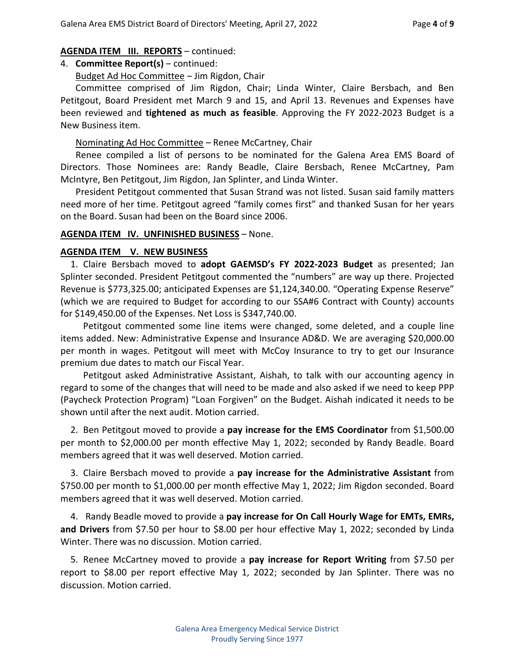#### **AGENDA ITEM III. REPORTS** – continued:

## 4. **Committee Report(s)** – continued:

Budget Ad Hoc Committee - Jim Rigdon, Chair

Committee comprised of Jim Rigdon, Chair; Linda Winter, Claire Bersbach, and Ben Petitgout, Board President met March 9 and 15, and April 13. Revenues and Expenses have been reviewed and **tightened as much as feasible**. Approving the FY 2022-2023 Budget is a New Business item.

## Nominating Ad Hoc Committee – Renee McCartney, Chair

 Renee compiled a list of persons to be nominated for the Galena Area EMS Board of Directors. Those Nominees are: Randy Beadle, Claire Bersbach, Renee McCartney, Pam McIntyre, Ben Petitgout, Jim Rigdon, Jan Splinter, and Linda Winter.

 President Petitgout commented that Susan Strand was not listed. Susan said family matters need more of her time. Petitgout agreed "family comes first" and thanked Susan for her years on the Board. Susan had been on the Board since 2006.

#### **AGENDA ITEM IV. UNFINISHED BUSINESS** – None.

#### **AGENDA ITEM V. NEW BUSINESS**

 1. Claire Bersbach moved to **adopt GAEMSD's FY 2022-2023 Budget** as presented; Jan Splinter seconded. President Petitgout commented the "numbers" are way up there. Projected Revenue is \$773,325.00; anticipated Expenses are \$1,124,340.00. "Operating Expense Reserve" (which we are required to Budget for according to our SSA#6 Contract with County) accounts for \$149,450.00 of the Expenses. Net Loss is \$347,740.00.

 Petitgout commented some line items were changed, some deleted, and a couple line items added. New: Administrative Expense and Insurance AD&D. We are averaging \$20,000.00 per month in wages. Petitgout will meet with McCoy Insurance to try to get our Insurance premium due dates to match our Fiscal Year.

 Petitgout asked Administrative Assistant, Aishah, to talk with our accounting agency in regard to some of the changes that will need to be made and also asked if we need to keep PPP (Paycheck Protection Program) "Loan Forgiven" on the Budget. Aishah indicated it needs to be shown until after the next audit. Motion carried.

 2. Ben Petitgout moved to provide a **pay increase for the EMS Coordinator** from \$1,500.00 per month to \$2,000.00 per month effective May 1, 2022; seconded by Randy Beadle. Board members agreed that it was well deserved. Motion carried.

 3. Claire Bersbach moved to provide a **pay increase for the Administrative Assistant** from \$750.00 per month to \$1,000.00 per month effective May 1, 2022; Jim Rigdon seconded. Board members agreed that it was well deserved. Motion carried.

 4. Randy Beadle moved to provide a **pay increase for On Call Hourly Wage for EMTs, EMRs, and Drivers** from \$7.50 per hour to \$8.00 per hour effective May 1, 2022; seconded by Linda Winter. There was no discussion. Motion carried.

 5. Renee McCartney moved to provide a **pay increase for Report Writing** from \$7.50 per report to \$8.00 per report effective May 1, 2022; seconded by Jan Splinter. There was no discussion. Motion carried.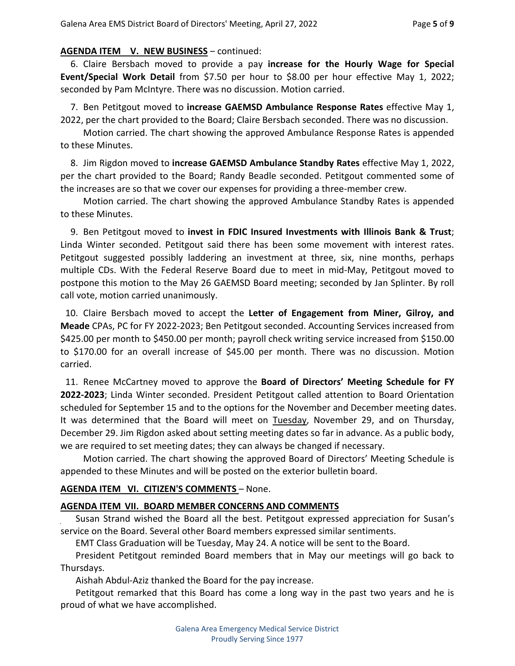## **AGENDA ITEM V. NEW BUSINESS - continued:**

 6. Claire Bersbach moved to provide a pay **increase for the Hourly Wage for Special Event/Special Work Detail** from \$7.50 per hour to \$8.00 per hour effective May 1, 2022; seconded by Pam McIntyre. There was no discussion. Motion carried.

 7. Ben Petitgout moved to **increase GAEMSD Ambulance Response Rates** effective May 1, 2022, per the chart provided to the Board; Claire Bersbach seconded. There was no discussion.

 Motion carried. The chart showing the approved Ambulance Response Rates is appended to these Minutes.

 8. Jim Rigdon moved to **increase GAEMSD Ambulance Standby Rates** effective May 1, 2022, per the chart provided to the Board; Randy Beadle seconded. Petitgout commented some of the increases are so that we cover our expenses for providing a three-member crew.

 Motion carried. The chart showing the approved Ambulance Standby Rates is appended to these Minutes.

 9. Ben Petitgout moved to **invest in FDIC Insured Investments with Illinois Bank & Trust**; Linda Winter seconded. Petitgout said there has been some movement with interest rates. Petitgout suggested possibly laddering an investment at three, six, nine months, perhaps multiple CDs. With the Federal Reserve Board due to meet in mid-May, Petitgout moved to postpone this motion to the May 26 GAEMSD Board meeting; seconded by Jan Splinter. By roll call vote, motion carried unanimously.

 10. Claire Bersbach moved to accept the **Letter of Engagement from Miner, Gilroy, and Meade** CPAs, PC for FY 2022-2023; Ben Petitgout seconded. Accounting Services increased from \$425.00 per month to \$450.00 per month; payroll check writing service increased from \$150.00 to \$170.00 for an overall increase of \$45.00 per month. There was no discussion. Motion carried.

 11. Renee McCartney moved to approve the **Board of Directors' Meeting Schedule for FY 2022-2023**; Linda Winter seconded. President Petitgout called attention to Board Orientation scheduled for September 15 and to the options for the November and December meeting dates. It was determined that the Board will meet on Tuesday, November 29, and on Thursday, December 29. Jim Rigdon asked about setting meeting dates so far in advance. As a public body, we are required to set meeting dates; they can always be changed if necessary.

 Motion carried. The chart showing the approved Board of Directors' Meeting Schedule is appended to these Minutes and will be posted on the exterior bulletin board.

## **AGENDA ITEM VI. CITIZEN'S COMMENTS** – None.

## **AGENDA ITEM VII. BOARD MEMBER CONCERNS AND COMMENTS**

 Susan Strand wished the Board all the best. Petitgout expressed appreciation for Susan's service on the Board. Several other Board members expressed similar sentiments.

EMT Class Graduation will be Tuesday, May 24. A notice will be sent to the Board.

 President Petitgout reminded Board members that in May our meetings will go back to Thursdays.

Aishah Abdul-Aziz thanked the Board for the pay increase.

 Petitgout remarked that this Board has come a long way in the past two years and he is proud of what we have accomplished.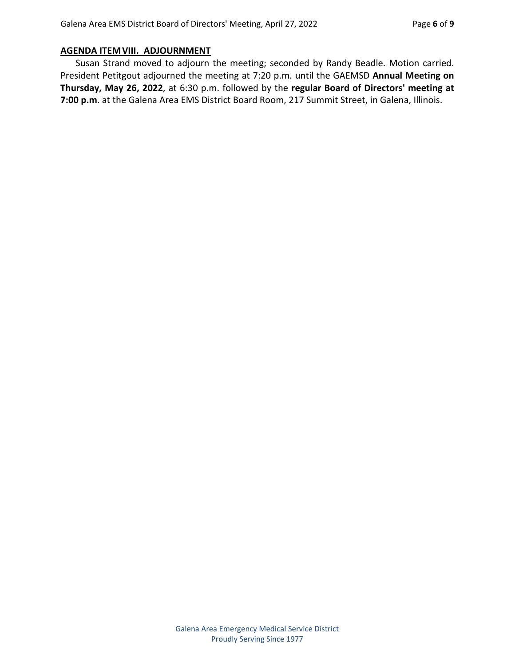## **AGENDA ITEM VIII. ADJOURNMENT**

 Susan Strand moved to adjourn the meeting; seconded by Randy Beadle. Motion carried. President Petitgout adjourned the meeting at 7:20 p.m. until the GAEMSD **Annual Meeting on Thursday, May 26, 2022**, at 6:30 p.m. followed by the **regular Board of Directors' meeting at 7:00 p.m**. at the Galena Area EMS District Board Room, 217 Summit Street, in Galena, Illinois.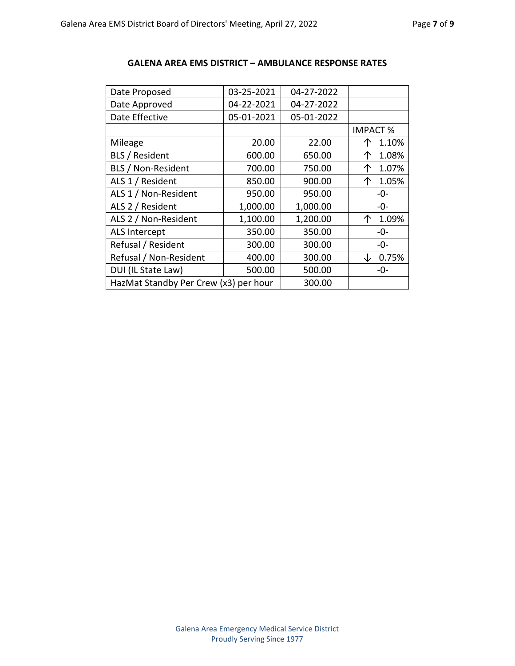| Date Proposed                         | 03-25-2021 | 04-27-2022 |                 |
|---------------------------------------|------------|------------|-----------------|
| Date Approved                         | 04-22-2021 | 04-27-2022 |                 |
| Date Effective                        | 05-01-2021 | 05-01-2022 |                 |
|                                       |            |            | <b>IMPACT %</b> |
| Mileage                               | 20.00      | 22.00      | 1.10%           |
| <b>BLS / Resident</b>                 | 600.00     | 650.00     | 个<br>1.08%      |
| <b>BLS / Non-Resident</b>             | 700.00     | 750.00     | 1.07%<br>个      |
| ALS 1 / Resident                      | 850.00     | 900.00     | 1.05%<br>个      |
| ALS 1 / Non-Resident                  | 950.00     | 950.00     | -0-             |
| ALS 2 / Resident                      | 1,000.00   | 1,000.00   | -0-             |
| ALS 2 / Non-Resident                  | 1,100.00   | 1,200.00   | 1.09%<br>↑      |
| ALS Intercept                         | 350.00     | 350.00     | -0-             |
| Refusal / Resident                    | 300.00     | 300.00     | -0-             |
| Refusal / Non-Resident                | 400.00     | 300.00     | 0.75%           |
| DUI (IL State Law)                    | 500.00     | 500.00     | -0-             |
| HazMat Standby Per Crew (x3) per hour | 300.00     |            |                 |

#### **GALENA AREA EMS DISTRICT – AMBULANCE RESPONSE RATES**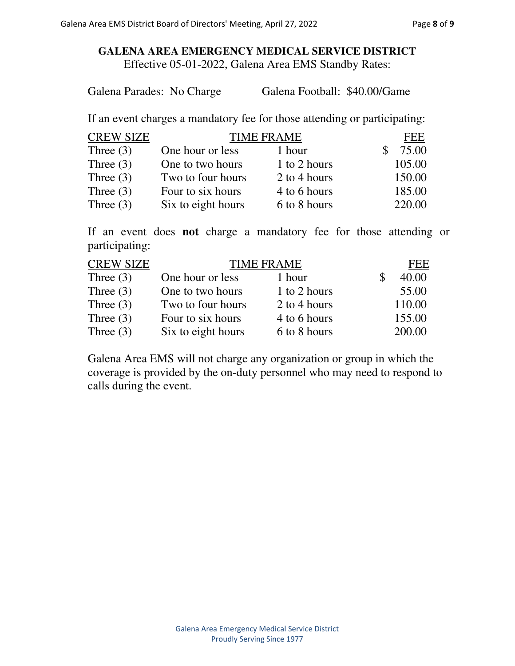## **GALENA AREA EMERGENCY MEDICAL SERVICE DISTRICT**  Effective 05-01-2022, Galena Area EMS Standby Rates:

Galena Parades: No Charge Galena Football: \$40.00/Game

If an event charges a mandatory fee for those attending or participating:

| <b>CREW SIZE</b> | <b>TIME FRAME</b>  |              | <b>FEE</b> |
|------------------|--------------------|--------------|------------|
| Three $(3)$      | One hour or less   | 1 hour       | 75.00      |
| Three $(3)$      | One to two hours   | 1 to 2 hours | 105.00     |
| Three $(3)$      | Two to four hours  | 2 to 4 hours | 150.00     |
| Three $(3)$      | Four to six hours  | 4 to 6 hours | 185.00     |
| Three $(3)$      | Six to eight hours | 6 to 8 hours | 220.00     |

If an event does **not** charge a mandatory fee for those attending or participating:

| <b>CREW SIZE</b> | <b>TIME FRAME</b>  |              | FEE    |
|------------------|--------------------|--------------|--------|
| Three $(3)$      | One hour or less   | 1 hour       | 40.00  |
| Three $(3)$      | One to two hours   | 1 to 2 hours | 55.00  |
| Three $(3)$      | Two to four hours  | 2 to 4 hours | 110.00 |
| Three $(3)$      | Four to six hours  | 4 to 6 hours | 155.00 |
| Three $(3)$      | Six to eight hours | 6 to 8 hours | 200.00 |

Galena Area EMS will not charge any organization or group in which the coverage is provided by the on-duty personnel who may need to respond to calls during the event.